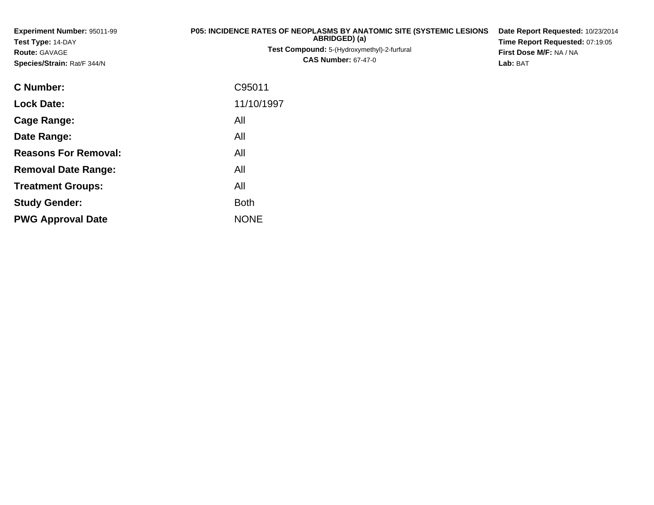| <b>Experiment Number: 95011-99</b><br>Test Type: 14-DAY<br><b>Route: GAVAGE</b><br>Species/Strain: Rat/F 344/N | P05: INCIDENCE RATES OF NEOPLASMS BY ANATOMIC SITE (SYSTEMIC LESIONS<br>ABRIDGED) (a)<br>Test Compound: 5-(Hydroxymethyl)-2-furfural<br><b>CAS Number: 67-47-0</b> | Date Report Requested: 10/23/2014<br>Time Report Requested: 07:19:05<br>First Dose M/F: NA / NA<br>Lab: BAT |
|----------------------------------------------------------------------------------------------------------------|--------------------------------------------------------------------------------------------------------------------------------------------------------------------|-------------------------------------------------------------------------------------------------------------|
| <b>C</b> Number:                                                                                               | C95011                                                                                                                                                             |                                                                                                             |
| <b>Lock Date:</b>                                                                                              | 11/10/1997                                                                                                                                                         |                                                                                                             |
| <b>Cage Range:</b>                                                                                             | All                                                                                                                                                                |                                                                                                             |
| Date Range:                                                                                                    | All                                                                                                                                                                |                                                                                                             |
| <b>Reasons For Removal:</b>                                                                                    | All                                                                                                                                                                |                                                                                                             |
| <b>Removal Date Range:</b>                                                                                     | All                                                                                                                                                                |                                                                                                             |

**Treatment Groups:**

**PWG Approval Date**

**Study Gender:**

All

e NONE

Both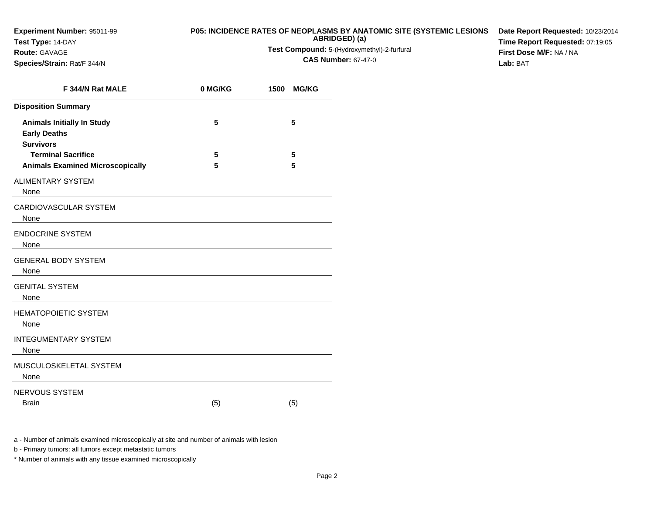### **Test Type:** 14-DAY

#### **Route:** GAVAGE

**Species/Strain:** Rat/F 344/N

### **P05: INCIDENCE RATES OF NEOPLASMS BY ANATOMIC SITE (SYSTEMIC LESIONS**

**ABRIDGED) (a)Test Compound:** 5-(Hydroxymethyl)-2-furfural

**CAS Number:** 67-47-0

**Date Report Requested:** 10/23/2014**Time Report Requested:** 07:19:05**First Dose M/F:** NA / NA**Lab:** BAT

| F 344/N Rat MALE                                                             | 0 MG/KG | <b>MG/KG</b><br>1500 |
|------------------------------------------------------------------------------|---------|----------------------|
| <b>Disposition Summary</b>                                                   |         |                      |
| <b>Animals Initially In Study</b><br><b>Early Deaths</b><br><b>Survivors</b> | 5       | 5                    |
| <b>Terminal Sacrifice</b>                                                    | 5       | 5                    |
| <b>Animals Examined Microscopically</b>                                      | 5       | 5                    |
| <b>ALIMENTARY SYSTEM</b><br>None                                             |         |                      |
| <b>CARDIOVASCULAR SYSTEM</b><br>None                                         |         |                      |
| <b>ENDOCRINE SYSTEM</b><br>None                                              |         |                      |
| <b>GENERAL BODY SYSTEM</b><br>None                                           |         |                      |
| <b>GENITAL SYSTEM</b><br>None                                                |         |                      |
| <b>HEMATOPOIETIC SYSTEM</b><br>None                                          |         |                      |
| <b>INTEGUMENTARY SYSTEM</b><br>None                                          |         |                      |
| MUSCULOSKELETAL SYSTEM<br>None                                               |         |                      |
| NERVOUS SYSTEM<br><b>Brain</b>                                               | (5)     | (5)                  |

a - Number of animals examined microscopically at site and number of animals with lesion

b - Primary tumors: all tumors except metastatic tumors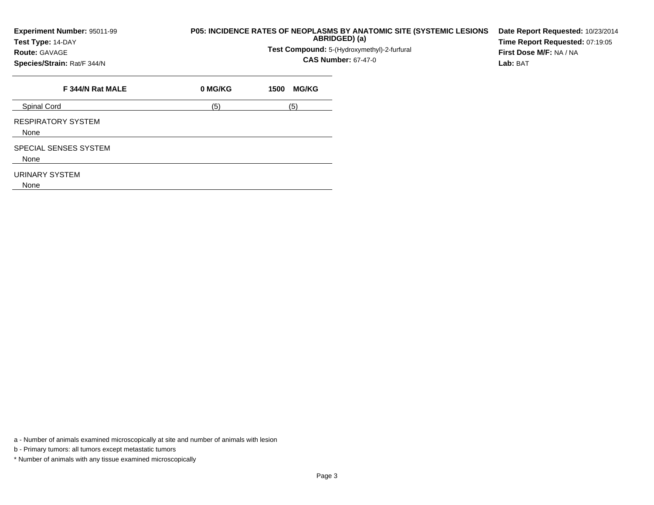## **P05: INCIDENCE RATES OF NEOPLASMS BY ANATOMIC SITE (SYSTEMIC LESIONS ABRIDGED) (a)**

**Test Compound:** 5-(Hydroxymethyl)-2-furfural

**CAS Number:** 67-47-0

**Date Report Requested:** 10/23/2014**Time Report Requested:** 07:19:05**First Dose M/F:** NA / NA**Lab:** BAT

**Species/Strain:** Rat/F 344/N

**Test Type:** 14-DAY**Route:** GAVAGE

| F 344/N Rat MALE              | 0 MG/KG | <b>MG/KG</b><br>1500 |
|-------------------------------|---------|----------------------|
| Spinal Cord                   | (5)     | (5)                  |
| RESPIRATORY SYSTEM<br>None    |         |                      |
| SPECIAL SENSES SYSTEM<br>None |         |                      |
| URINARY SYSTEM<br>None        |         |                      |

a - Number of animals examined microscopically at site and number of animals with lesion

b - Primary tumors: all tumors except metastatic tumors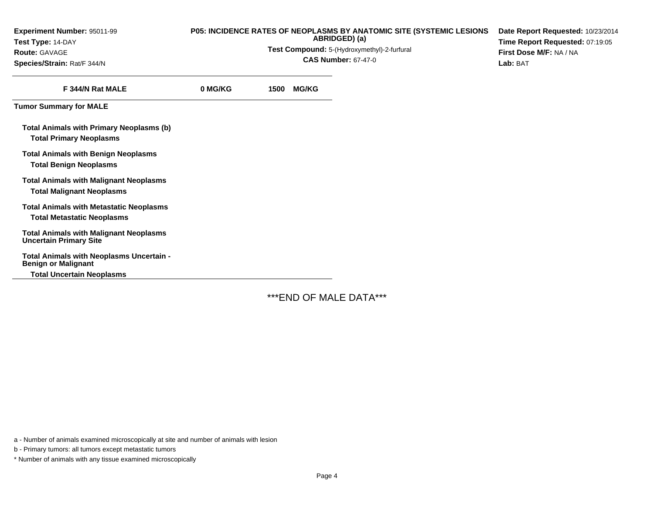| Experiment Number: 95011-99 |  |
|-----------------------------|--|
| Test Type: 14-DAY           |  |
| <b>Route:</b> GAVAGE        |  |

**Species/Strain:** Rat/F 344/N

# **P05: INCIDENCE RATES OF NEOPLASMS BY ANATOMIC SITE (SYSTEMIC LESIONS ABRIDGED) (a)**

**Test Compound:** 5-(Hydroxymethyl)-2-furfural

**CAS Number:** 67-47-0

**Date Report Requested:** 10/23/2014**Time Report Requested:** 07:19:05**First Dose M/F:** NA / NA**Lab:** BAT

| F 344/N Rat MALE                                                                    | 0 MG/KG | 1500 MG/KG |
|-------------------------------------------------------------------------------------|---------|------------|
| <b>Tumor Summary for MALE</b>                                                       |         |            |
| Total Animals with Primary Neoplasms (b)<br><b>Total Primary Neoplasms</b>          |         |            |
| <b>Total Animals with Benign Neoplasms</b><br><b>Total Benign Neoplasms</b>         |         |            |
| <b>Total Animals with Malignant Neoplasms</b><br><b>Total Malignant Neoplasms</b>   |         |            |
| <b>Total Animals with Metastatic Neoplasms</b><br><b>Total Metastatic Neoplasms</b> |         |            |
| <b>Total Animals with Malignant Neoplasms</b><br><b>Uncertain Primary Site</b>      |         |            |
| Total Animals with Neoplasms Uncertain -<br><b>Benign or Malignant</b>              |         |            |
| <b>Total Uncertain Neoplasms</b>                                                    |         |            |

\*\*\*END OF MALE DATA\*\*\*

a - Number of animals examined microscopically at site and number of animals with lesion

b - Primary tumors: all tumors except metastatic tumors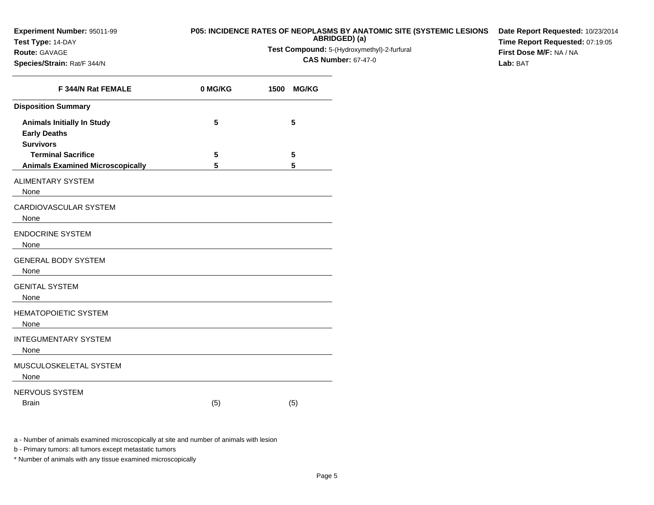**Test Type:** 14-DAY

### **Route:** GAVAGE

**Species/Strain:** Rat/F 344/N

### **P05: INCIDENCE RATES OF NEOPLASMS BY ANATOMIC SITE (SYSTEMIC LESIONS**

**ABRIDGED) (a)Test Compound:** 5-(Hydroxymethyl)-2-furfural

**CAS Number:** 67-47-0

**Date Report Requested:** 10/23/2014**Time Report Requested:** 07:19:05**First Dose M/F:** NA / NA**Lab:** BAT

| F 344/N Rat FEMALE                                                           | 0 MG/KG | <b>MG/KG</b><br>1500 |
|------------------------------------------------------------------------------|---------|----------------------|
| <b>Disposition Summary</b>                                                   |         |                      |
| <b>Animals Initially In Study</b><br><b>Early Deaths</b><br><b>Survivors</b> | 5       | 5                    |
| <b>Terminal Sacrifice</b>                                                    | 5       | 5                    |
| <b>Animals Examined Microscopically</b>                                      | 5       | 5                    |
| <b>ALIMENTARY SYSTEM</b><br>None                                             |         |                      |
| <b>CARDIOVASCULAR SYSTEM</b><br>None                                         |         |                      |
| <b>ENDOCRINE SYSTEM</b><br>None                                              |         |                      |
| <b>GENERAL BODY SYSTEM</b><br>None                                           |         |                      |
| <b>GENITAL SYSTEM</b><br>None                                                |         |                      |
| <b>HEMATOPOIETIC SYSTEM</b><br>None                                          |         |                      |
| <b>INTEGUMENTARY SYSTEM</b><br>None                                          |         |                      |
| MUSCULOSKELETAL SYSTEM<br>None                                               |         |                      |
| NERVOUS SYSTEM<br><b>Brain</b>                                               | (5)     | (5)                  |

a - Number of animals examined microscopically at site and number of animals with lesion

b - Primary tumors: all tumors except metastatic tumors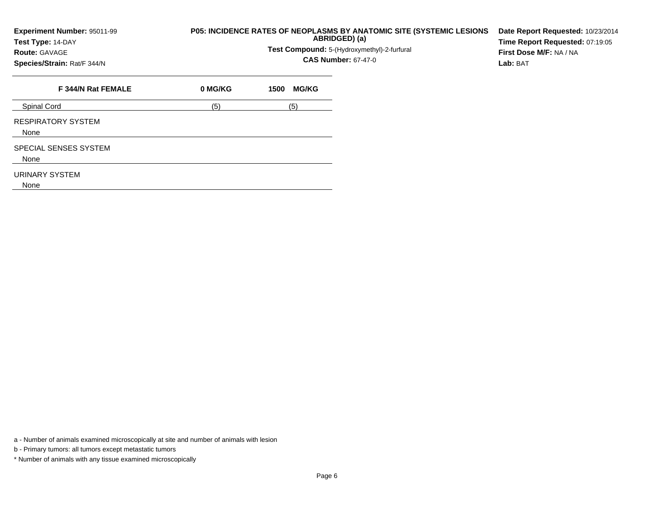## **P05: INCIDENCE RATES OF NEOPLASMS BY ANATOMIC SITE (SYSTEMIC LESIONS ABRIDGED) (a)**

**Test Compound:** 5-(Hydroxymethyl)-2-furfural

**CAS Number:** 67-47-0

**Date Report Requested:** 10/23/2014**Time Report Requested:** 07:19:05**First Dose M/F:** NA / NA**Lab:** BAT

**Species/Strain:** Rat/F 344/N

**Test Type:** 14-DAY**Route:** GAVAGE

| F 344/N Rat FEMALE                | 0 MG/KG | <b>MG/KG</b><br>1500 |
|-----------------------------------|---------|----------------------|
| Spinal Cord                       | (5)     | (5)                  |
| <b>RESPIRATORY SYSTEM</b><br>None |         |                      |
| SPECIAL SENSES SYSTEM<br>None     |         |                      |
| URINARY SYSTEM<br>None            |         |                      |

a - Number of animals examined microscopically at site and number of animals with lesion

b - Primary tumors: all tumors except metastatic tumors